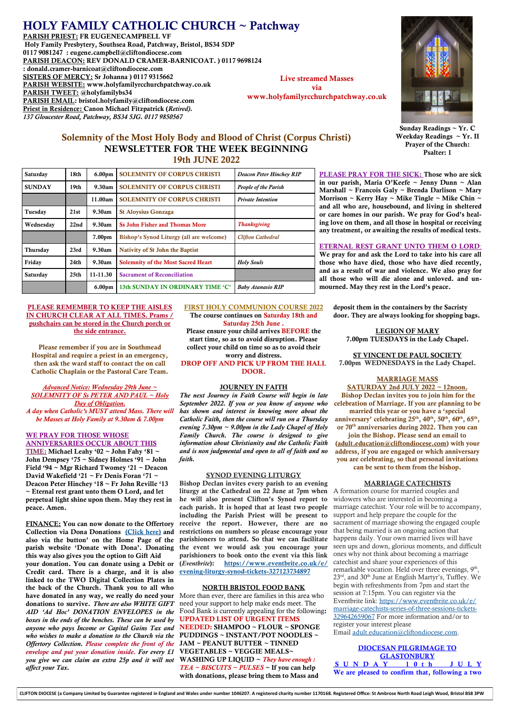# HOLY FAMILY CATHOLIC CHURCH ~ Patchway

PARISH PRIEST: FR EUGENECAMPBELL VF Holy Family Presbytery, Southsea Road, Patchway, Bristol, BS34 5DP 0117 9081247 : eugene.campbell@cliftondiocese.com PARISH DEACON: REV DONALD CRAMER-BARNICOAT. ) 0117 9698124 : donald.cramer-barnicoat@cliftondiocese.com SISTERS OF MERCY: Sr Johanna ) 0117 9315662 PARISH WEBSITE: www.holyfamilyrcchurchpatchway.co.uk PARISH TWEET: @holyfamilybs34 PARISH EMAIL: bristol.holyfamily@cliftondiocese.com Priest in Residence: Canon Michael Fitzpatrick (*Retired). 137 Gloucester Road, Patchway, BS34 5JG. 0117 9850567*

Live streamed Masses via www.holyfamilyrcchurchpatchway.co.uk



#### Sunday Readings ~ Yr. C Weekday Readings  $\sim Yr$ . II Prayer of the Church: Psalter: 1

## Solemnity of the Most Holy Body and Blood of Christ (Corpus Christi) NEWSLETTER FOR THE WEEK BEGINNING 19th JUNE 2022

| Saturday      | 18th             | 6.00 <sub>pm</sub> | <b>SOLEMNITY OF CORPUS CHRISTI</b>        | Deacon Peter Hinchey RIP    |
|---------------|------------------|--------------------|-------------------------------------------|-----------------------------|
| <b>SUNDAY</b> | 19th             | 9.30am             | <b>SOLEMNITY OF CORPUS CHRISTI</b>        | <b>People of the Parish</b> |
|               |                  | 11.00am            | <b>SOLEMNITY OF CORPUS CHRISTI</b>        | <b>Private Intention</b>    |
| Tuesday       | 21st             | 9.30am             | <b>St Aloysius Gonzaga</b>                |                             |
| Wednesday     | 22nd             | 9.30am             | <b>Ss John Fisher and Thomas More</b>     | <b>Thanksgiving</b>         |
|               |                  | 7.00 <sub>pm</sub> | Bishop's Synod Liturgy (all are welcome)  | <b>Clifton Cathedral</b>    |
| Thursday      | 23rd             | 9.30am             | <b>Nativity of St John the Baptist</b>    |                             |
|               |                  |                    |                                           |                             |
| Friday        | 24 <sub>th</sub> | 9.30am             | <b>Solemnity of the Most Sacred Heart</b> | <b>Holy Souls</b>           |
| Saturday      | 25 <sub>th</sub> | 11-11.30           | <b>Sacrament of Reconciliation</b>        |                             |

PLEASE PRAY FOR THE SICK: Those who are sick in our parish, Maria O'Keefe ~ Jenny Dunn ~ Alan Marshall ~ Francois Galy ~ Brenda Darlison ~ Mary Morrison ~ Kerry Hay ~ Mike Tingle ~ Mike Chin ~ and all who are, housebound, and living in sheltered or care homes in our parish. We pray for God's healing love on them, and all those in hospital or receiving any treatment, or awaiting the results of medical tests.

# ETERNAL REST GRANT UNTO THEM O LORD:

We pray for and ask the Lord to take into his care all those who have died, those who have died recently, and as a result of war and violence. We also pray for all those who will die alone and unloved. and unmourned. May they rest in the Lord's peace.

PLEASE REMEMBER TO KEEP THE AISLES IN CHURCH CLEAR AT ALL TIMES. Prams / pushchairs can be stored in the Church porch or the side entrance.

Please remember if you are in Southmead Hospital and require a priest in an emergency, then ask the ward staff to contact the on call Catholic Chaplain or the Pastoral Care Team.

### *Advanced Notice: Wednesday 29th June ~ SOLEMNITY OF Ss PETER AND PAUL ~ Holy Day of Obligation.*

*A day when Catholic's MUST attend Mass. There will be Masses at Holy Family at 9.30am & 7.00pm* 

### WE PRAY FOR THOSE WHOSE

ANNIVERSARIES OCCUR ABOUT THIS TIME: Michael Leahy '02 *~* John Fahy '81 ~ John Dempsey '75 ~ Sidney Holmes '91 *~* John Field '94  $\sim$  Mgr Richard Twomey '21  $\sim$  Deacon David Wakefield '21 ~ Fr Denis Foran '71 ~ Deacon Peter Hinchey '18 ~ Fr John Reville '13 ~ Eternal rest grant unto them O Lord, and let perpetual light shine upon them. May they rest in peace. Amen.

FINANCE: You can now donate to the Offertory Collection via Dona Donations [\(Click here\)](https://portal.mydona.com/assets/webPay/index.php?cid=261) and also via the button' on the Home Page of the parish website 'Donate with Dona'. Donating this way also gives you the option to Gift Aid your donation. You can donate using a Debit or Credit card. There is a charge, and it is also linked to the TWO Digital Collection Plates in the back of the Church. Thank you to all who have donated in any way, we really do need your donations to survive. *There are also WHITE GIFT AID 'Ad Hoc' DONATION ENVELOPES in the boxes in the ends of the benches. These can be used by anyone who pays Income or Capital Gains Tax and who wishes to make a donation to the Church via the Offertory Collection. Please complete the front of the envelope and put your donation inside. For every £1 you give we can claim an extra 25p and it will not affect your Tax.*

FIRST HOLY COMMUNION COURSE 2022 The course continues on Saturday 18th and Saturday 25th June .

Please ensure your child arrives BEFORE the start time, so as to avoid disruption. Please collect your child on time so as to avoid their worry and distress.

DROP OFF AND PICK UP FROM THE HALL DOOR.

#### JOURNEY IN FAITH

*The next Journey in Faith Course will begin in late September 2022. If you or you know of anyone who has shown and interest in knowing more about the Catholic Faith, then the course will run on a Thursday evening 7.30pm ~ 9.00pm in the Lady Chapel of Holy Family Church. The course is designed to give information about Christianity and the Catholic Faith and is non judgmental and open to all of faith and no faith.* 

#### SYNOD EVENING LITURGY

Bishop Declan invites every parish to an evening liturgy at the Cathedral on 22 June at 7pm when he will also present Clifton's Synod report to each parish. It is hoped that at least two people including the Parish Priest will be present to receive the report. However, there are no restrictions on numbers so please encourage your parishioners to attend. So that we can facilitate the event we would ask you encourage your parishioners to book onto the event via this link (*Eventbrite*): [https://www.eventbrite.co.uk/e/](https://eur02.safelinks.protection.outlook.com/?url=https%3A%2F%2Fwww.eventbrite.co.uk%2Fe%2Fevening-liturgy-synod-tickets-327123734897&data=05%7C01%7Cbristol.holyfamily%40cliftondiocese.com%7Cc68aa85bcb0742cf7bd708da3d8671f0%7Cf10b8f13604e4fa29e1204a7fad22e9) [evening-liturgy-synod-tickets-327123734897](https://eur02.safelinks.protection.outlook.com/?url=https%3A%2F%2Fwww.eventbrite.co.uk%2Fe%2Fevening-liturgy-synod-tickets-327123734897&data=05%7C01%7Cbristol.holyfamily%40cliftondiocese.com%7Cc68aa85bcb0742cf7bd708da3d8671f0%7Cf10b8f13604e4fa29e1204a7fad22e9)

### NORTH BRISTOL FOOD BANK

More than ever, there are families in this area who need your support to help make ends meet. The Food Bank is currently appealing for the following: UPDATED LIST OF URGENT ITEMS NEEDED: SHAMPOO ~ FLOUR ~ SPONGE PUDDINGS ~ INSTANT/POT NOODLES ~ JAM ~ PEANUT BUTTER ~ TINNED VEGETABLES ~ VEGGIE MEALS~ WASHING UP LIQUID ~ *They have enough : TEA ~ BISCUITS ~ PULSES ~* If you can help with donations, please bring them to Mass and

deposit them in the containers by the Sacristy door. They are always looking for shopping bags.

LEGION OF MARY 7.00pm TUESDAYS in the Lady Chapel.

ST VINCENT DE PAUL SOCIETY 7.00pm WEDNESDAYS in the Lady Chapel.

### MARRIAGE MASS

SATURDAY 2nd JULY 2022 ~ 12noon. Bishop Declan invites you to join him for the celebration of Marriage. If you are planning to be married this year or you have a 'special anniversary' celebrating 25<sup>th</sup>, 40<sup>th</sup>, 50<sup>th</sup>, 60<sup>th</sup>, 65<sup>th</sup>, or 70th anniversaries during 2022. Then you can

join the Bishop. Please send an email to [\(adult.education@cliftondiocese.com\)](mailto:adult.education@cliftondiocese.com) with your address, if you are engaged or which anniversary you are celebrating, so that personal invitations can be sent to them from the bishop.

#### MARRIAGE CATECHISTS

A formation course for married couples and widowers who are interested in becoming a marriage catechist. Your role will be to accompany, support and help prepare the couple for the sacrament of marriage showing the engaged couple that being married is an ongoing action that happens daily. Your own married lives will have seen ups and down, glorious moments, and difficult ones why not think about becoming a marriage catechist and share your experiences of this remarkable vocation. Held over three evenings, 9<sup>th</sup>, 23<sup>rd</sup>, and 30<sup>th</sup> June at English Martyr's, Tuffley. We begin with refreshments from 7pm and start the session at 7:15pm. You can register via the Eventbrite link: [https://www.eventbrite.co.uk/e/](https://eur02.safelinks.protection.outlook.com/?url=https%3A%2F%2Fwww.eventbrite.co.uk%2Fe%2Fmarriage-catechists-series-of-three-sessions-tickets-329642659067&data=05%7C01%7Cbristol.holyfamily%40cliftondiocese.com%7C3f88a022b6cf43fd1db808da3d89822a%7Cf10b8f13) [marriage-catechists-series-of-three-sessions-tickets-](https://eur02.safelinks.protection.outlook.com/?url=https%3A%2F%2Fwww.eventbrite.co.uk%2Fe%2Fmarriage-catechists-series-of-three-sessions-tickets-329642659067&data=05%7C01%7Cbristol.holyfamily%40cliftondiocese.com%7C3f88a022b6cf43fd1db808da3d89822a%7Cf10b8f13)[329642659067](https://eur02.safelinks.protection.outlook.com/?url=https%3A%2F%2Fwww.eventbrite.co.uk%2Fe%2Fmarriage-catechists-series-of-three-sessions-tickets-329642659067&data=05%7C01%7Cbristol.holyfamily%40cliftondiocese.com%7C3f88a022b6cf43fd1db808da3d89822a%7Cf10b8f13) For more information and/or to register your interest please Email [adult.education@cliftondiocese.com.](mailto:adult.education@cliftondiocese.com)

DIOCESAN PILGRIMAGE TO **GLASTONBURY** S U N D A Y 1 0 t h J U L Y We are pleased to confirm that, following a two